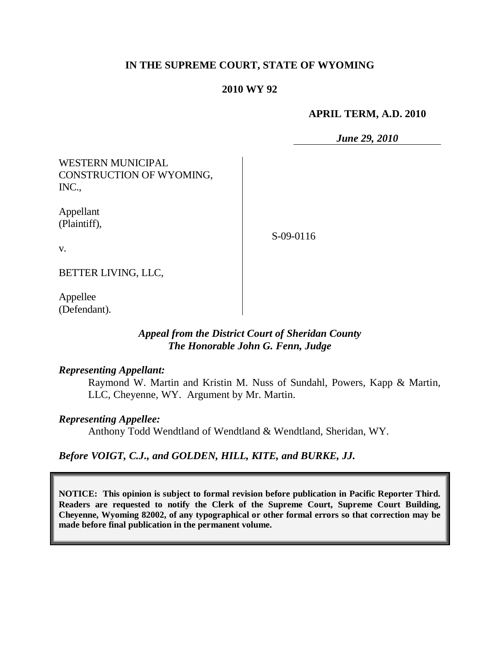# **IN THE SUPREME COURT, STATE OF WYOMING**

### **2010 WY 92**

#### **APRIL TERM, A.D. 2010**

*June 29, 2010*

WESTERN MUNICIPAL CONSTRUCTION OF WYOMING, INC.,

Appellant (Plaintiff),

S-09-0116

v.

BETTER LIVING, LLC,

Appellee (Defendant).

# *Appeal from the District Court of Sheridan County The Honorable John G. Fenn, Judge*

#### *Representing Appellant:*

Raymond W. Martin and Kristin M. Nuss of Sundahl, Powers, Kapp & Martin, LLC, Cheyenne, WY. Argument by Mr. Martin.

#### *Representing Appellee:*

Anthony Todd Wendtland of Wendtland & Wendtland, Sheridan, WY.

# *Before VOIGT, C.J., and GOLDEN, HILL, KITE, and BURKE, JJ.*

**NOTICE: This opinion is subject to formal revision before publication in Pacific Reporter Third. Readers are requested to notify the Clerk of the Supreme Court, Supreme Court Building, Cheyenne, Wyoming 82002, of any typographical or other formal errors so that correction may be made before final publication in the permanent volume.**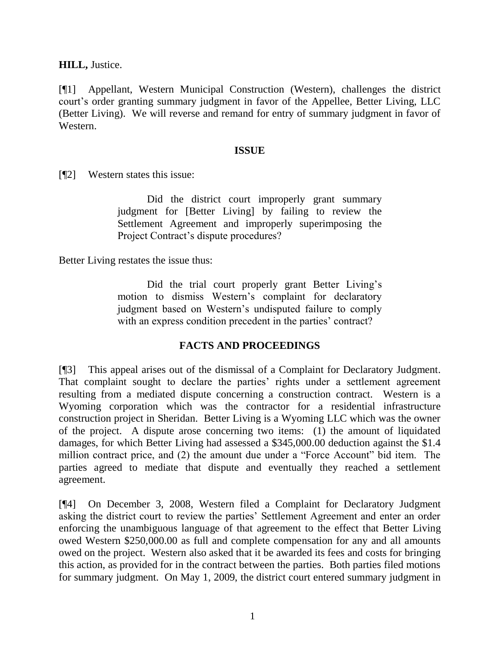**HILL,** Justice.

[¶1] Appellant, Western Municipal Construction (Western), challenges the district court's order granting summary judgment in favor of the Appellee, Better Living, LLC (Better Living). We will reverse and remand for entry of summary judgment in favor of Western.

### **ISSUE**

[¶2] Western states this issue:

Did the district court improperly grant summary judgment for [Better Living] by failing to review the Settlement Agreement and improperly superimposing the Project Contract's dispute procedures?

Better Living restates the issue thus:

Did the trial court properly grant Better Living's motion to dismiss Western's complaint for declaratory judgment based on Western's undisputed failure to comply with an express condition precedent in the parties' contract?

# **FACTS AND PROCEEDINGS**

[¶3] This appeal arises out of the dismissal of a Complaint for Declaratory Judgment. That complaint sought to declare the parties' rights under a settlement agreement resulting from a mediated dispute concerning a construction contract. Western is a Wyoming corporation which was the contractor for a residential infrastructure construction project in Sheridan. Better Living is a Wyoming LLC which was the owner of the project. A dispute arose concerning two items: (1) the amount of liquidated damages, for which Better Living had assessed a \$345,000.00 deduction against the \$1.4 million contract price, and (2) the amount due under a "Force Account" bid item. The parties agreed to mediate that dispute and eventually they reached a settlement agreement.

[¶4] On December 3, 2008, Western filed a Complaint for Declaratory Judgment asking the district court to review the parties' Settlement Agreement and enter an order enforcing the unambiguous language of that agreement to the effect that Better Living owed Western \$250,000.00 as full and complete compensation for any and all amounts owed on the project. Western also asked that it be awarded its fees and costs for bringing this action, as provided for in the contract between the parties. Both parties filed motions for summary judgment. On May 1, 2009, the district court entered summary judgment in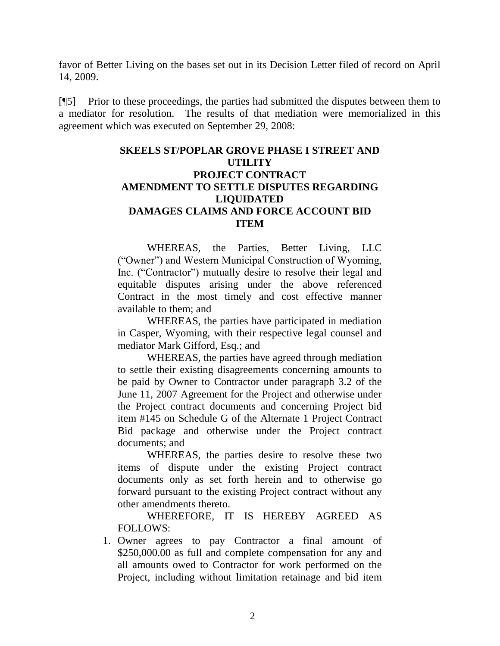favor of Better Living on the bases set out in its Decision Letter filed of record on April 14, 2009.

[¶5] Prior to these proceedings, the parties had submitted the disputes between them to a mediator for resolution. The results of that mediation were memorialized in this agreement which was executed on September 29, 2008:

# **SKEELS ST/POPLAR GROVE PHASE I STREET AND UTILITY PROJECT CONTRACT AMENDMENT TO SETTLE DISPUTES REGARDING LIQUIDATED DAMAGES CLAIMS AND FORCE ACCOUNT BID ITEM**

WHEREAS, the Parties, Better Living, LLC ("Owner") and Western Municipal Construction of Wyoming, Inc. ("Contractor") mutually desire to resolve their legal and equitable disputes arising under the above referenced Contract in the most timely and cost effective manner available to them; and

WHEREAS, the parties have participated in mediation in Casper, Wyoming, with their respective legal counsel and mediator Mark Gifford, Esq.; and

WHEREAS, the parties have agreed through mediation to settle their existing disagreements concerning amounts to be paid by Owner to Contractor under paragraph 3.2 of the June 11, 2007 Agreement for the Project and otherwise under the Project contract documents and concerning Project bid item #145 on Schedule G of the Alternate 1 Project Contract Bid package and otherwise under the Project contract documents; and

WHEREAS, the parties desire to resolve these two items of dispute under the existing Project contract documents only as set forth herein and to otherwise go forward pursuant to the existing Project contract without any other amendments thereto.

WHEREFORE, IT IS HEREBY AGREED AS FOLLOWS:

1. Owner agrees to pay Contractor a final amount of \$250,000.00 as full and complete compensation for any and all amounts owed to Contractor for work performed on the Project, including without limitation retainage and bid item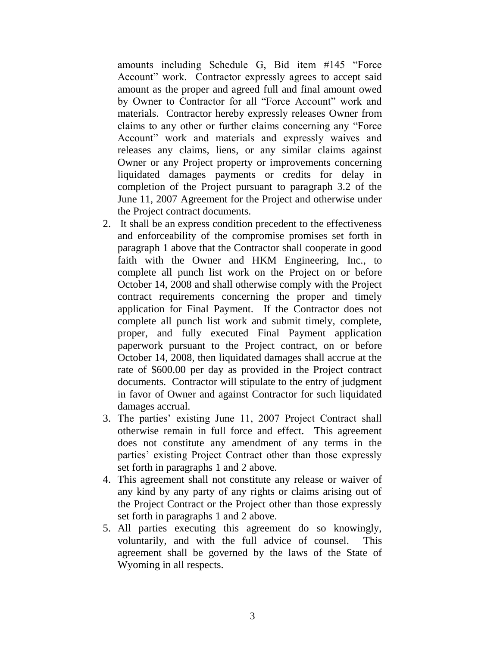amounts including Schedule G, Bid item #145 "Force Account" work. Contractor expressly agrees to accept said amount as the proper and agreed full and final amount owed by Owner to Contractor for all "Force Account" work and materials. Contractor hereby expressly releases Owner from claims to any other or further claims concerning any "Force Account" work and materials and expressly waives and releases any claims, liens, or any similar claims against Owner or any Project property or improvements concerning liquidated damages payments or credits for delay in completion of the Project pursuant to paragraph 3.2 of the June 11, 2007 Agreement for the Project and otherwise under the Project contract documents.

- 2. It shall be an express condition precedent to the effectiveness and enforceability of the compromise promises set forth in paragraph 1 above that the Contractor shall cooperate in good faith with the Owner and HKM Engineering, Inc., to complete all punch list work on the Project on or before October 14, 2008 and shall otherwise comply with the Project contract requirements concerning the proper and timely application for Final Payment. If the Contractor does not complete all punch list work and submit timely, complete, proper, and fully executed Final Payment application paperwork pursuant to the Project contract, on or before October 14, 2008, then liquidated damages shall accrue at the rate of \$600.00 per day as provided in the Project contract documents. Contractor will stipulate to the entry of judgment in favor of Owner and against Contractor for such liquidated damages accrual.
- 3. The parties' existing June 11, 2007 Project Contract shall otherwise remain in full force and effect. This agreement does not constitute any amendment of any terms in the parties' existing Project Contract other than those expressly set forth in paragraphs 1 and 2 above.
- 4. This agreement shall not constitute any release or waiver of any kind by any party of any rights or claims arising out of the Project Contract or the Project other than those expressly set forth in paragraphs 1 and 2 above.
- 5. All parties executing this agreement do so knowingly, voluntarily, and with the full advice of counsel. This agreement shall be governed by the laws of the State of Wyoming in all respects.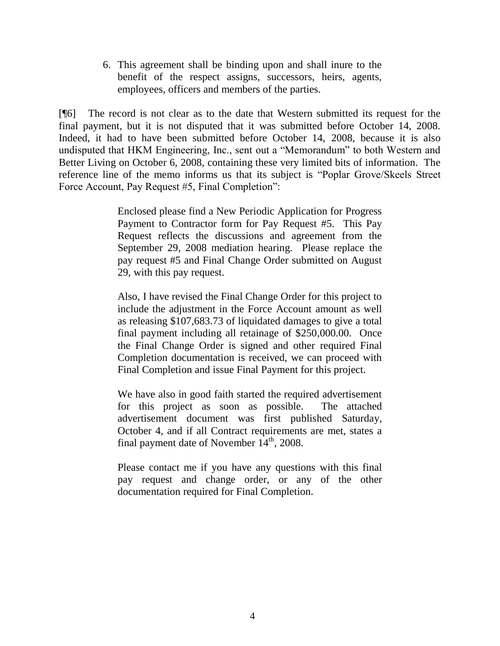6. This agreement shall be binding upon and shall inure to the benefit of the respect assigns, successors, heirs, agents, employees, officers and members of the parties.

[¶6] The record is not clear as to the date that Western submitted its request for the final payment, but it is not disputed that it was submitted before October 14, 2008. Indeed, it had to have been submitted before October 14, 2008, because it is also undisputed that HKM Engineering, Inc., sent out a "Memorandum" to both Western and Better Living on October 6, 2008, containing these very limited bits of information. The reference line of the memo informs us that its subject is "Poplar Grove/Skeels Street Force Account, Pay Request #5, Final Completion":

> Enclosed please find a New Periodic Application for Progress Payment to Contractor form for Pay Request #5. This Pay Request reflects the discussions and agreement from the September 29, 2008 mediation hearing. Please replace the pay request #5 and Final Change Order submitted on August 29, with this pay request.

> Also, I have revised the Final Change Order for this project to include the adjustment in the Force Account amount as well as releasing \$107,683.73 of liquidated damages to give a total final payment including all retainage of \$250,000.00. Once the Final Change Order is signed and other required Final Completion documentation is received, we can proceed with Final Completion and issue Final Payment for this project.

> We have also in good faith started the required advertisement for this project as soon as possible. The attached advertisement document was first published Saturday, October 4, and if all Contract requirements are met, states a final payment date of November  $14<sup>th</sup>$ , 2008.

> Please contact me if you have any questions with this final pay request and change order, or any of the other documentation required for Final Completion.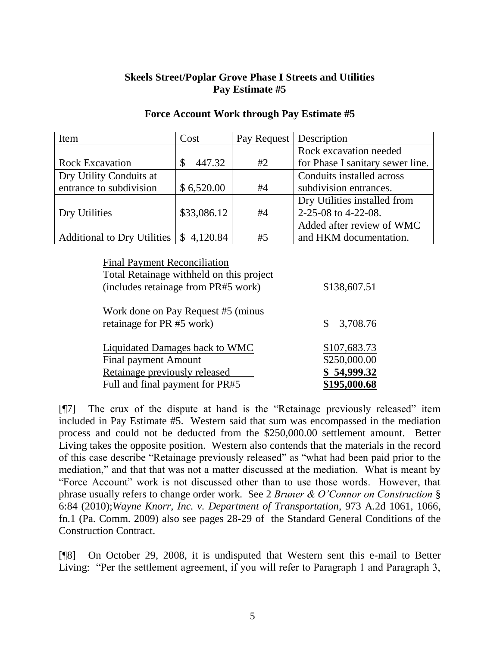# **Skeels Street/Poplar Grove Phase I Streets and Utilities Pay Estimate #5**

| Item                        | Cost        | Pay Request | Description                      |
|-----------------------------|-------------|-------------|----------------------------------|
|                             |             |             | Rock excavation needed           |
| <b>Rock Excavation</b>      | 447.32      | #2          | for Phase I sanitary sewer line. |
| Dry Utility Conduits at     |             |             | Conduits installed across        |
| entrance to subdivision     | \$6,520.00  | #4          | subdivision entrances.           |
|                             |             |             | Dry Utilities installed from     |
| Dry Utilities               | \$33,086.12 | #4          | 2-25-08 to 4-22-08.              |
|                             |             |             | Added after review of WMC        |
| Additional to Dry Utilities | \$4,120.84  | #5          | and HKM documentation.           |

### **Force Account Work through Pay Estimate #5**

| <b>Final Payment Reconciliation</b><br>Total Retainage withheld on this project<br>(includes retainage from PR#5 work) | \$138,607.51        |
|------------------------------------------------------------------------------------------------------------------------|---------------------|
| Work done on Pay Request #5 (minus                                                                                     | \$                  |
| retainage for PR #5 work)                                                                                              | 3,708.76            |
| <b>Liquidated Damages back to WMC</b>                                                                                  | <u>\$107,683.73</u> |
| Final payment Amount                                                                                                   | \$250,000.00        |
| Retainage previously released                                                                                          | \$54,999.32         |
| Full and final payment for PR#5                                                                                        | \$195,000.68        |

[¶7] The crux of the dispute at hand is the "Retainage previously released" item included in Pay Estimate #5. Western said that sum was encompassed in the mediation process and could not be deducted from the \$250,000.00 settlement amount. Better Living takes the opposite position. Western also contends that the materials in the record of this case describe "Retainage previously released" as "what had been paid prior to the mediation," and that that was not a matter discussed at the mediation. What is meant by "Force Account" work is not discussed other than to use those words. However, that phrase usually refers to change order work. See 2 *Bruner & O'Connor on Construction* § 6:84 (2010);*Wayne Knorr, Inc. v. Department of Transportation*, 973 A.2d 1061, 1066, fn.1 (Pa. Comm. 2009) also see pages 28-29 of the Standard General Conditions of the Construction Contract.

[¶8] On October 29, 2008, it is undisputed that Western sent this e-mail to Better Living: "Per the settlement agreement, if you will refer to Paragraph 1 and Paragraph 3,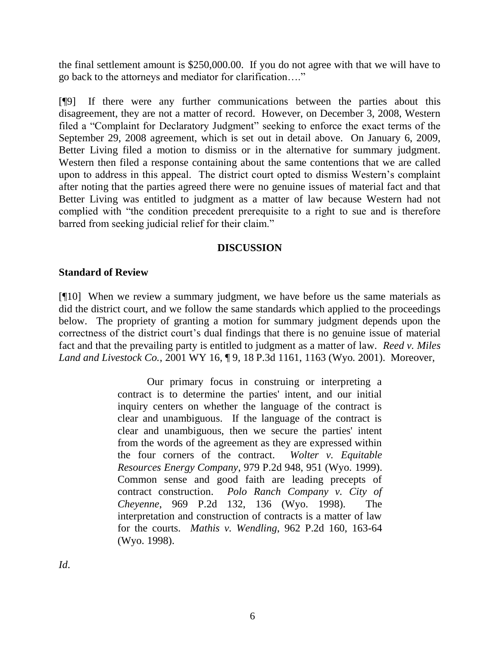the final settlement amount is \$250,000.00. If you do not agree with that we will have to go back to the attorneys and mediator for clarification…."

[¶9] If there were any further communications between the parties about this disagreement, they are not a matter of record. However, on December 3, 2008, Western filed a "Complaint for Declaratory Judgment" seeking to enforce the exact terms of the September 29, 2008 agreement, which is set out in detail above. On January 6, 2009, Better Living filed a motion to dismiss or in the alternative for summary judgment. Western then filed a response containing about the same contentions that we are called upon to address in this appeal. The district court opted to dismiss Western's complaint after noting that the parties agreed there were no genuine issues of material fact and that Better Living was entitled to judgment as a matter of law because Western had not complied with "the condition precedent prerequisite to a right to sue and is therefore barred from seeking judicial relief for their claim."

# **DISCUSSION**

# **Standard of Review**

[¶10] When we review a summary judgment, we have before us the same materials as did the district court, and we follow the same standards which applied to the proceedings below. The propriety of granting a motion for summary judgment depends upon the correctness of the district court's dual findings that there is no genuine issue of material fact and that the prevailing party is entitled to judgment as a matter of law. *Reed v. Miles Land and Livestock Co.*, 2001 WY 16, ¶ 9, 18 P.3d 1161, 1163 (Wyo. 2001). Moreover,

> Our primary focus in construing or interpreting a contract is to determine the parties' intent, and our initial inquiry centers on whether the language of the contract is clear and unambiguous. If the language of the contract is clear and unambiguous, then we secure the parties' intent from the words of the agreement as they are expressed within the four corners of the contract. *Wolter v. Equitable Resources Energy Company*, 979 P.2d 948, 951 (Wyo. 1999). Common sense and good faith are leading precepts of contract construction. *Polo Ranch Company v. City of Cheyenne*, 969 P.2d 132, 136 (Wyo. 1998). The interpretation and construction of contracts is a matter of law for the courts. *Mathis v. Wendling*, 962 P.2d 160, 163-64 (Wyo. 1998).

*Id*.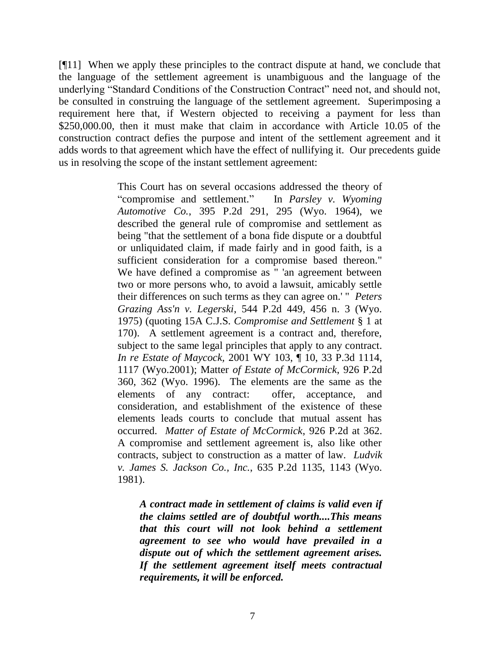[¶11] When we apply these principles to the contract dispute at hand, we conclude that the language of the settlement agreement is unambiguous and the language of the underlying "Standard Conditions of the Construction Contract" need not, and should not, be consulted in construing the language of the settlement agreement. Superimposing a requirement here that, if Western objected to receiving a payment for less than \$250,000.00, then it must make that claim in accordance with Article 10.05 of the construction contract defies the purpose and intent of the settlement agreement and it adds words to that agreement which have the effect of nullifying it. Our precedents guide us in resolving the scope of the instant settlement agreement:

> This Court has on several occasions addressed the theory of "compromise and settlement." In *Parsley v. Wyoming Automotive Co.*, 395 P.2d 291, 295 (Wyo. 1964), we described the general rule of compromise and settlement as being "that the settlement of a bona fide dispute or a doubtful or unliquidated claim, if made fairly and in good faith, is a sufficient consideration for a compromise based thereon." We have defined a compromise as " 'an agreement between two or more persons who, to avoid a lawsuit, amicably settle their differences on such terms as they can agree on.' " *Peters Grazing Ass'n v. Legerski*, 544 P.2d 449, 456 n. 3 (Wyo. 1975) (quoting 15A C.J.S. *Compromise and Settlement* § 1 at 170). A settlement agreement is a contract and, therefore, subject to the same legal principles that apply to any contract. *In re Estate of Maycock,* 2001 WY 103, ¶ 10, 33 P.3d 1114, 1117 (Wyo.2001); Matter *of Estate of McCormick*, 926 P.2d 360, 362 (Wyo. 1996). The elements are the same as the elements of any contract: offer, acceptance, and consideration, and establishment of the existence of these elements leads courts to conclude that mutual assent has occurred. *Matter of Estate of McCormick*, 926 P.2d at 362. A compromise and settlement agreement is, also like other contracts, subject to construction as a matter of law. *Ludvik v. James S. Jackson Co., Inc.*, 635 P.2d 1135, 1143 (Wyo. 1981).

*A contract made in settlement of claims is valid even if the claims settled are of doubtful worth....This means that this court will not look behind a settlement agreement to see who would have prevailed in a dispute out of which the settlement agreement arises. If the settlement agreement itself meets contractual requirements, it will be enforced.*